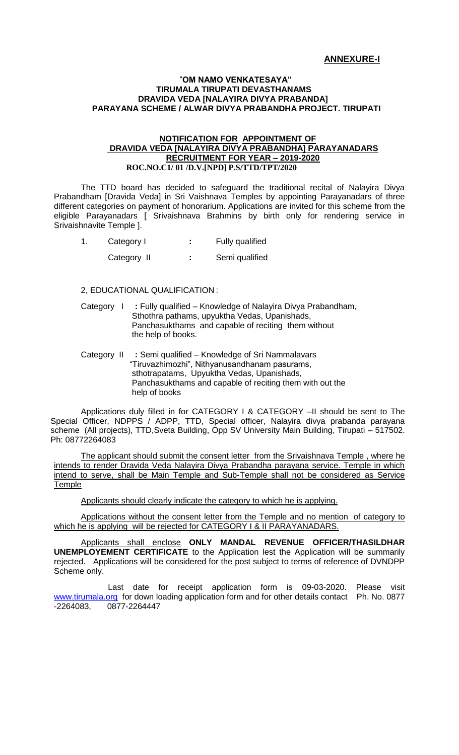### **ANNEXURE-I**

### "**OM NAMO VENKATESAYA" TIRUMALA TIRUPATI DEVASTHANAMS DRAVIDA VEDA [NALAYIRA DIVYA PRABANDA] PARAYANA SCHEME / ALWAR DIVYA PRABANDHA PROJECT. TIRUPATI**

### **NOTIFICATION FOR APPOINTMENT OF DRAVIDA VEDA [NALAYIRA DIVYA PRABANDHA] PARAYANADARS RECRUITMENT FOR YEAR – 2019-2020 ROC.NO.C1/ 01 /D.V.[NPD] P.S/TTD/TPT/2020**

The TTD board has decided to safeguard the traditional recital of Nalayira Divya Prabandham [Dravida Veda] in Sri Vaishnava Temples by appointing Parayanadars of three different categories on payment of honorarium. Applications are invited for this scheme from the eligible Parayanadars [ Srivaishnava Brahmins by birth only for rendering service in Srivaishnavite Temple ].

1. Category I **:** Fully qualified

Category II **:** Semi qualified

2, EDUCATIONAL QUALIFICATION :

Category I **:** Fully qualified – Knowledge of Nalayira Divya Prabandham, Sthothra pathams, upyuktha Vedas, Upanishads, Panchasukthams and capable of reciting them without the help of books.

Category II **:** Semi qualified – Knowledge of Sri Nammalavars "Tiruvazhimozhi", Nithyanusandhanam pasurams, sthotrapatams, Upyuktha Vedas, Upanishads, Panchasukthams and capable of reciting them with out the help of books

Applications duly filled in for CATEGORY I & CATEGORY –II should be sent to The Special Officer, NDPPS / ADPP, TTD, Special officer, Nalayira divya prabanda parayana scheme (All projects), TTD,Sveta Building, Opp SV University Main Building, Tirupati – 517502. Ph: 08772264083

The applicant should submit the consent letter from the Srivaishnava Temple , where he intends to render Dravida Veda Nalayira Divya Prabandha parayana service. Temple in which intend to serve, shall be Main Temple and Sub-Temple shall not be considered as Service **Temple** 

Applicants should clearly indicate the category to which he is applying.

Applications without the consent letter from the Temple and no mention of category to which he is applying will be rejected for CATEGORY I & II PARAYANADARS.

Applicants shall enclose **ONLY MANDAL REVENUE OFFICER/THASILDHAR UNEMPLOYEMENT CERTIFICATE** to the Application lest the Application will be summarily rejected. Applications will be considered for the post subject to terms of reference of DVNDPP Scheme only.

Last date for receipt application form is 09-03-2020. Please visit [www.tirumala.org](http://www.tirumala.org/) for down loading application form and for other details contact Ph. No. 0877 -2264083, 0877-2264447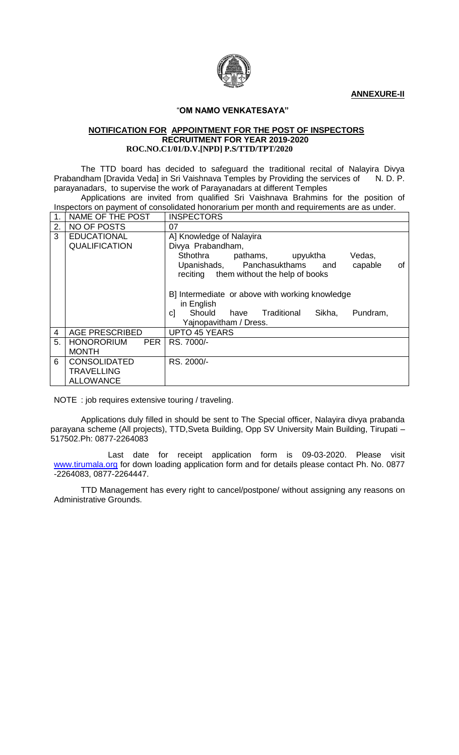**ANNEXURE-II**



#### "**OM NAMO VENKATESAYA"**

### **NOTIFICATION FOR APPOINTMENT FOR THE POST OF INSPECTORS RECRUITMENT FOR YEAR 2019-2020 ROC.NO.C1/01/D.V.[NPD] P.S/TTD/TPT/2020**

The TTD board has decided to safeguard the traditional recital of Nalayira Divya Prabandham [Dravida Veda] in Sri Vaishnava Temples by Providing the services of N. D. P. parayanadars, to supervise the work of Parayanadars at different Temples

Applications are invited from qualified Sri Vaishnava Brahmins for the position of Inspectors on payment of consolidated honorarium per month and requirements are as under.

|                | NAME OF THE POST           | <b>INSPECTORS</b>                                             |  |  |
|----------------|----------------------------|---------------------------------------------------------------|--|--|
| 2.             | NO OF POSTS                | 07                                                            |  |  |
| 3              | <b>EDUCATIONAL</b>         | A] Knowledge of Nalayira                                      |  |  |
|                | <b>QUALIFICATION</b>       | Divya Prabandham,                                             |  |  |
|                |                            | Sthothra<br>pathams, upyuktha<br>Vedas,                       |  |  |
|                |                            | Upanishads, Panchasukthams and<br>0f<br>capable               |  |  |
|                |                            | reciting them without the help of books                       |  |  |
|                |                            |                                                               |  |  |
|                |                            | B] Intermediate or above with working knowledge               |  |  |
|                |                            | in English                                                    |  |  |
|                |                            | Should have Traditional<br>Sikha,<br>Pundram,<br><sub>C</sub> |  |  |
|                |                            | Yajnopavitham / Dress.                                        |  |  |
| $\overline{4}$ | <b>AGE PRESCRIBED</b>      | <b>UPTO 45 YEARS</b>                                          |  |  |
| 5.             | <b>HONORORIUM</b><br>PER I | RS. 7000/-                                                    |  |  |
|                | <b>MONTH</b>               |                                                               |  |  |
| 6              | <b>CONSOLIDATED</b>        | RS. 2000/-                                                    |  |  |
|                | <b>TRAVELLING</b>          |                                                               |  |  |
|                | <b>ALLOWANCE</b>           |                                                               |  |  |

NOTE : job requires extensive touring / traveling.

Applications duly filled in should be sent to The Special officer, Nalayira divya prabanda parayana scheme (All projects), TTD,Sveta Building, Opp SV University Main Building, Tirupati – 517502.Ph: 0877-2264083

Last date for receipt application form is 09-03-2020. Please visit [www.tirumala.org](http://www.tirumala.org/) for down loading application form and for details please contact Ph. No. 0877 -2264083, 0877-2264447.

TTD Management has every right to cancel/postpone/ without assigning any reasons on Administrative Grounds.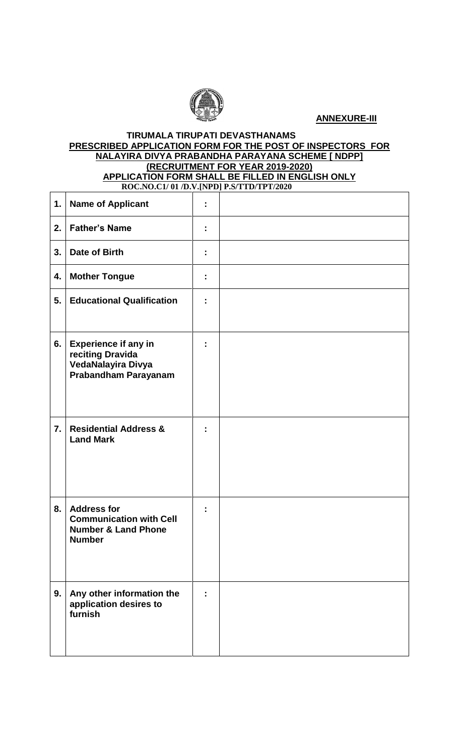

# **ANNEXURE-III**

## **TIRUMALA TIRUPATI DEVASTHANAMS PRESCRIBED APPLICATION FORM FOR THE POST OF INSPECTORS FOR NALAYIRA DIVYA PRABANDHA PARAYANA SCHEME [ NDPP] (RECRUITMENT FOR YEAR 2019-2020) APPLICATION FORM SHALL BE FILLED IN ENGLISH ONLY ROC.NO.C1/ 01 /D.V.[NPD] P.S/TTD/TPT/2020**

| 1.               | <b>Name of Applicant</b>                                                                                | ÷  |  |
|------------------|---------------------------------------------------------------------------------------------------------|----|--|
| 2.               | <b>Father's Name</b>                                                                                    | ÷  |  |
| 3.               | Date of Birth                                                                                           | t  |  |
| 4.               | <b>Mother Tongue</b>                                                                                    | ÷  |  |
| 5.               | <b>Educational Qualification</b>                                                                        | ÷  |  |
| 6.               | <b>Experience if any in</b><br>reciting Dravida<br>VedaNalayira Divya<br>Prabandham Parayanam           |    |  |
| $\overline{7}$ . | <b>Residential Address &amp;</b><br><b>Land Mark</b>                                                    |    |  |
| 8.               | <b>Address for</b><br><b>Communication with Cell</b><br><b>Number &amp; Land Phone</b><br><b>Number</b> |    |  |
| 9.               | Any other information the<br>application desires to<br>furnish                                          | t, |  |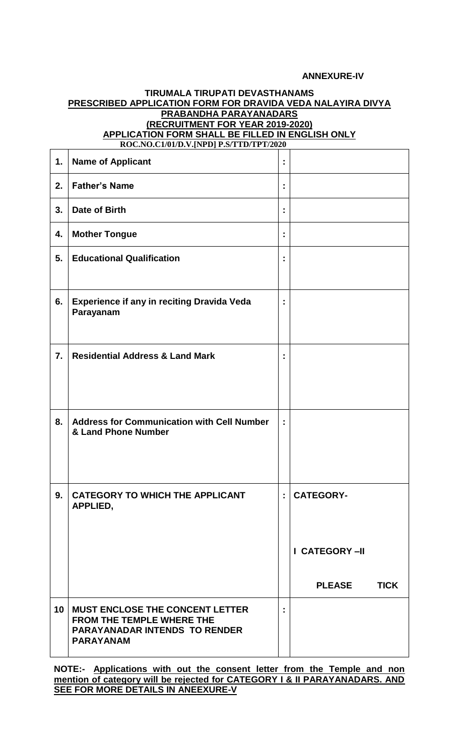### **ANNEXURE-IV**

### **TIRUMALA TIRUPATI DEVASTHANAMS PRESCRIBED APPLICATION FORM FOR DRAVIDA VEDA NALAYIRA DIVYA PRABANDHA PARAYANADARS (RECRUITMENT FOR YEAR 2019-2020) APPLICATION FORM SHALL BE FILLED IN ENGLISH ONLY ROC.NO.C1/01/D.V.[NPD] P.S/TTD/TPT/2020**

| 1.               | <b>Name of Applicant</b>                                                                                                        | t            |                              |
|------------------|---------------------------------------------------------------------------------------------------------------------------------|--------------|------------------------------|
| 2.               | <b>Father's Name</b>                                                                                                            | t,           |                              |
| 3.               | Date of Birth                                                                                                                   | t            |                              |
| 4.               | <b>Mother Tongue</b>                                                                                                            | Î            |                              |
| 5.               | <b>Educational Qualification</b>                                                                                                | İ            |                              |
| 6.               | <b>Experience if any in reciting Dravida Veda</b><br>Parayanam                                                                  | Î,           |                              |
| $\overline{7}$ . | <b>Residential Address &amp; Land Mark</b>                                                                                      | t            |                              |
| 8.               | <b>Address for Communication with Cell Number</b><br>& Land Phone Number                                                        | t,           |                              |
| 9.               | <b>CATEGORY TO WHICH THE APPLICANT</b><br>APPLIED,                                                                              | $\mathbf{r}$ | <b>CATEGORY-</b>             |
|                  |                                                                                                                                 |              | <b>I CATEGORY-II</b>         |
|                  |                                                                                                                                 |              | <b>PLEASE</b><br><b>TICK</b> |
| 10               | <b>MUST ENCLOSE THE CONCENT LETTER</b><br><b>FROM THE TEMPLE WHERE THE</b><br>PARAYANADAR INTENDS TO RENDER<br><b>PARAYANAM</b> | t,           |                              |

**NOTE:- Applications with out the consent letter from the Temple and non mention of category will be rejected for CATEGORY I & II PARAYANADARS. AND SEE FOR MORE DETAILS IN ANEEXURE-V**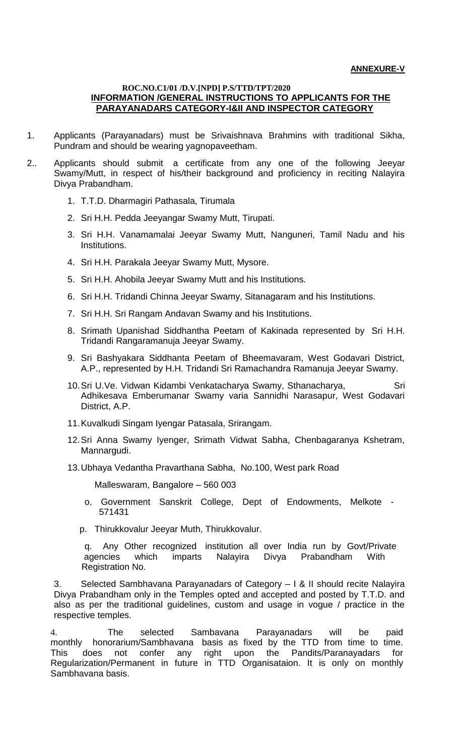### **ANNEXURE-V**

### **ROC.NO.C1/01 /D.V.[NPD] P.S/TTD/TPT/2020 INFORMATION /GENERAL INSTRUCTIONS TO APPLICANTS FOR THE PARAYANADARS CATEGORY-I&II AND INSPECTOR CATEGORY**

- 1. Applicants (Parayanadars) must be Srivaishnava Brahmins with traditional Sikha, Pundram and should be wearing yagnopaveetham.
- 2.. Applicants should submit a certificate from any one of the following Jeeyar Swamy/Mutt, in respect of his/their background and proficiency in reciting Nalayira Divya Prabandham.
	- 1. T.T.D. Dharmagiri Pathasala, Tirumala
	- 2. Sri H.H. Pedda Jeeyangar Swamy Mutt, Tirupati.
	- 3. Sri H.H. Vanamamalai Jeeyar Swamy Mutt, Nanguneri, Tamil Nadu and his Institutions.
	- 4. Sri H.H. Parakala Jeeyar Swamy Mutt, Mysore.
	- 5. Sri H.H. Ahobila Jeeyar Swamy Mutt and his Institutions.
	- 6. Sri H.H. Tridandi Chinna Jeeyar Swamy, Sitanagaram and his Institutions.
	- 7. Sri H.H. Sri Rangam Andavan Swamy and his Institutions.
	- 8. Srimath Upanishad Siddhantha Peetam of Kakinada represented by Sri H.H. Tridandi Rangaramanuja Jeeyar Swamy.
	- 9. Sri Bashyakara Siddhanta Peetam of Bheemavaram, West Godavari District, A.P., represented by H.H. Tridandi Sri Ramachandra Ramanuja Jeeyar Swamy.
	- 10. Sri U.Ve. Vidwan Kidambi Venkatacharya Swamy, Sthanacharya, Sri Adhikesava Emberumanar Swamy varia Sannidhi Narasapur, West Godavari District, A.P.
	- 11.Kuvalkudi Singam Iyengar Patasala, Srirangam.
	- 12.Sri Anna Swamy Iyenger, Srimath Vidwat Sabha, Chenbagaranya Kshetram, Mannargudi.
	- 13.Ubhaya Vedantha Pravarthana Sabha, No.100, West park Road

Malleswaram, Bangalore – 560 003

- o. Government Sanskrit College, Dept of Endowments, Melkote 571431
- p. Thirukkovalur Jeeyar Muth, Thirukkovalur.

 q. Any Other recognized institution all over India run by Govt/Private agencies which imparts Nalayira Divya Prabandham With Registration No.

3. Selected Sambhavana Parayanadars of Category – I & II should recite Nalayira Divya Prabandham only in the Temples opted and accepted and posted by T.T.D. and also as per the traditional guidelines, custom and usage in vogue / practice in the respective temples.

4. The selected Sambavana Parayanadars will be paid monthly honorarium/Sambhavana basis as fixed by the TTD from time to time. This does not confer any right upon the Pandits/Paranayadars for Regularization/Permanent in future in TTD Organisataion. It is only on monthly Sambhavana basis.